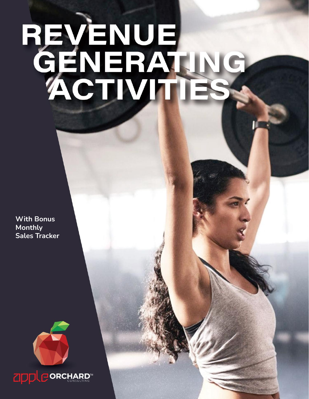# REVENUE<br>GENERATING<br>ACTIVITIES

**With Bonus Monthly Sales Tracker**

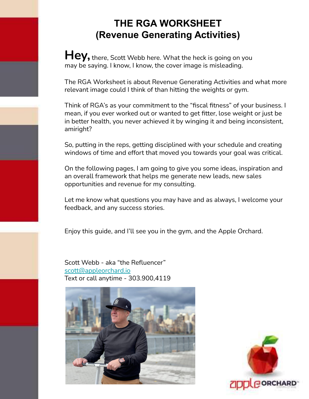# **THE RGA WORKSHEET (Revenue Generating Activities)**

Hey, there, Scott Webb here. What the heck is going on you may be saying. I know, I know, the cover image is misleading.

The RGA Worksheet is about Revenue Generating Activities and what more relevant image could I think of than hitting the weights or gym.

Think of RGA's as your commitment to the "fiscal fitness" of your business. I mean, if you ever worked out or wanted to get fitter, lose weight or just be in better health, you never achieved it by winging it and being inconsistent, amiright?

So, putting in the reps, getting disciplined with your schedule and creating windows of time and effort that moved you towards your goal was critical.

On the following pages, I am going to give you some ideas, inspiration and an overall framework that helps me generate new leads, new sales opportunities and revenue for my consulting.

Let me know what questions you may have and as always, I welcome your feedback, and any success stories.

Enjoy this guide, and I'll see you in the gym, and the Apple Orchard.

Scott Webb - aka "the Refluencer" [scott@appleorchard.io](mailto:scott@appleorchard.io) Text or call anytime - 303.900,4119



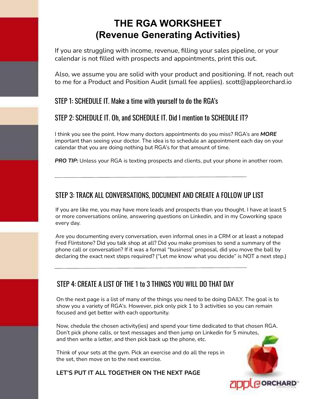# **THE RGA WORKSHEET (Revenue Generating Activities)**

If you are struggling with income, revenue, filling your sales pipeline, or your calendar is not filled with prospects and appointments, print this out.

Also, we assume you are solid with your product and positioning. If not, reach out to me for a Product and Position Audit (small fee applies). scott@appleorchard.io

### STEP 1: SCHEDULE IT. Make a time with yourself to do the RGA's

### STEP 2: SCHEDULE IT. Oh, and SCHEDULE IT. Did I mention to SCHEDULE IT?

I think you see the point. How many doctors appointments do you miss? RGA's are *MORE* important than seeing your doctor. The idea is to schedule an appointment each day on your calendar that you are doing nothing but RGA's for that amount of time.

**PRO TIP:** Unless your RGA is texting prospects and clients, put your phone in another room.

### STEP 3: TRACK ALL CONVERSATIONS, DOCUMENT AND CREATE A FOLLOW UP LIST

If you are like me, you may have more leads and prospects than you thought. I have at least 5 or more conversations online, answering questions on Linkedin, and in my Coworking space every day.

Are you documenting every conversation, even informal ones in a CRM or at least a notepad Fred Flintstone? Did you talk shop at all? Did you make promises to send a summary of the phone call or conversation? If it was a formal "business" proposal, did you move the ball by declaring the exact next steps required? ("Let me know what you decide" is NOT a next step.)

### STEP 4: CREATE A LIST OF THE 1 to 3 THINGS YOU WILL DO THAT DAY

On the next page is a list of many of the things you need to be doing DAILY. The goal is to show you a variety of RGA's. However, pick only pick 1 to 3 activities so you can remain focused and get better with each opportunity.

Now, chedule the chosen activity(ies) and spend your time dedicated to that chosen RGA. Don't pick phone calls, or text messages and then jump on Linkedin for 5 minutes, and then write a letter, and then pick back up the phone, etc.

Think of your sets at the gym. Pick an exercise and do all the reps in the set, then move on to the next exercise.

**LET'S PUT IT ALL TOGETHER ON THE NEXT PAGE**

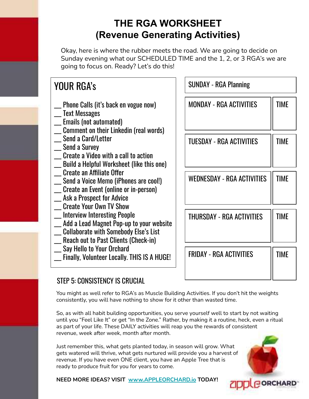# **THE RGA WORKSHEET (Revenue Generating Activities)**

Okay, here is where the rubber meets the road. We are going to decide on Sunday evening what our SCHEDULED TIME and the 1, 2, or 3 RGA's we are going to focus on. Ready? Let's do this!

| <b>YOUR RGA's</b>                                                                                                                                                                                                                                                                 | <b>SUNDAY - RGA Planning</b>      |             |
|-----------------------------------------------------------------------------------------------------------------------------------------------------------------------------------------------------------------------------------------------------------------------------------|-----------------------------------|-------------|
| Phone Calls (it's back en vogue now)<br><b>Text Messages</b><br>__ Emails (not automated)                                                                                                                                                                                         | <b>MONDAY - RGA ACTIVITIES</b>    | <b>TIME</b> |
| Send a Card/Letter<br>Send a Survey<br><b>Create a Video with a call to action</b><br>__ Build a Helpful Worksheet (like this one)<br>Create an Affiliate Offer<br>Send a Voice Memo (iPhones are cool!)<br>Create an Event (online or in-person)<br>__ Ask a Prospect for Advice | <b>TUESDAY - RGA ACTIVITIES</b>   | <b>TIME</b> |
|                                                                                                                                                                                                                                                                                   | <b>WEDNESDAY - RGA ACTIVITIES</b> | <b>TIME</b> |
| _ Interview Interesting People<br>_ Add a Lead Magnet Pop-up to your website<br>Collaborate with Somebody Else's List<br>Reach out to Past Clients (Check-in)                                                                                                                     | THURSDAY - RGA ACTIVITIES         | <b>TIME</b> |
| __ Say Hello to Your Orchard<br>Finally, Volunteer Locally. THIS IS A HUGE!                                                                                                                                                                                                       | <b>FRIDAY - RGA ACTIVITIES</b>    | <b>TIME</b> |
| __ Comment on their Linkedin (real words)<br>_ Create Your Own TV Show<br><u>CTED E. CONCICTENDY IC ODIIOIAI</u>                                                                                                                                                                  |                                   |             |

### STEP 5: CONSISTENCY IS CRUCIAL

You might as well refer to RGA's as Muscle Building Activities. If you don't hit the weights consistently, you will have nothing to show for it other than wasted time.

So, as with all habit building opportunities, you serve yourself well to start by not waiting until you "Feel Like It" or get "In the Zone." Rather, by making it a routine, heck, even a ritual as part of your life. These DAILY activities will reap you the rewards of consistent revenue, week after week, month after month.

Just remember this, what gets planted today, in season will grow. What gets watered will thrive, what gets nurtured will provide you a harvest of revenue. If you have even ONE client, you have an Apple Tree that is ready to produce fruit for you for years to come.



**NEED MORE IDEAS? VISIT [www.APPLEORCHARD.io](http://www.appleorchard.io) TODAY!**